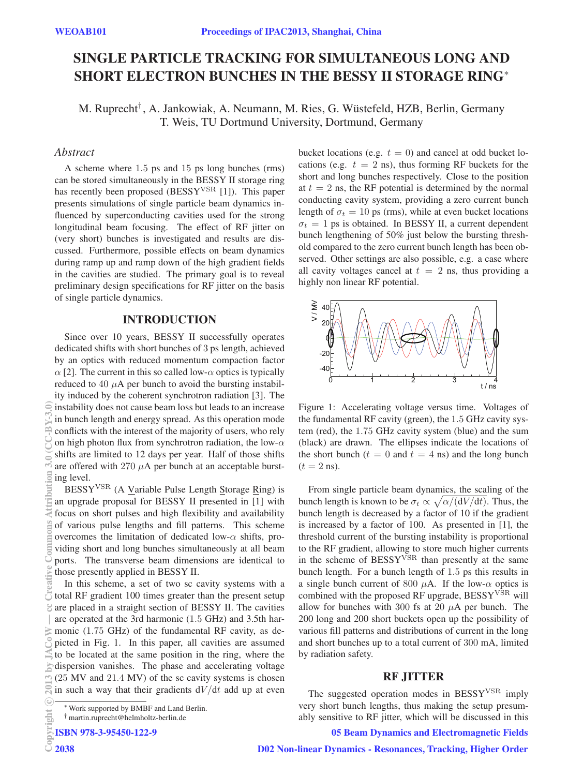# SINGLE PARTICLE TRACKING FOR SIMULTANEOUS LONG AND SHORT ELECTRON BUNCHES IN THE BESSY II STORAGE RING<sup>∗</sup>

M. Ruprecht† , A. Jankowiak, A. Neumann, M. Ries, G. Wustefeld, HZB, Berlin, Germany ¨ T. Weis, TU Dortmund University, Dortmund, Germany

# **Abstract**

*Abstract* A scheme where 1.5 ps and 15 ps long bunches (rms) can be stored simultaneously in the BESSY II storage ring has recently been proposed (BESSY<sup>VSR</sup> [1]). This paper presents simulations of single particle beam dynamics influenced by superconducting cavities used for the strong longitudinal beam focusing. The effect of RF jitter on (very short) bunches is investigated and results are discussed. Furthermore, possible effects on beam dynamics during ramp up and ramp down of the high gradient fields in the cavities are studied. The primary goal is to reveal preliminary design specifications for RF jitter on the basis of single particle dynamics.

# INTRODUCTION

Since over 10 years, BESSY II successfully operates dedicated shifts with short bunches of 3 ps length, achieved by an optics with reduced momentum compaction factor  $\alpha$  [2]. The current in this so called low- $\alpha$  optics is typically reduced to 40  $\mu$ A per bunch to avoid the bursting instability induced by the coherent synchrotron radiation [3]. The instability does not cause beam loss but leads to an increase in bunch length and energy spread. As this operation mode conflicts with the interest of the majority of users, who rely on high photon flux from synchrotron radiation, the low- $\alpha$ shifts are limited to 12 days per year. Half of those shifts are offered with 270  $\mu$ A per bunch at an acceptable bursting level.

BESSYVSR (A Variable Pulse Length Storage Ring) is an upgrade proposal for BESSY II presented in [1] with focus on short pulses and high flexibility and availability of various pulse lengths and fill patterns. This scheme overcomes the limitation of dedicated low- $\alpha$  shifts, providing short and long bunches simultaneously at all beam ports. The transverse beam dimensions are identical to those presently applied in BESSY II.

In this scheme, a set of two sc cavity systems with a total RF gradient 100 times greater than the present setup are placed in a straight section of BESSY II. The cavities are operated at the 3rd harmonic (1.5 GHz) and 3.5th har- $\geq$  monic (1.75 GHz) of the fundamental RF cavity, as depicted in Fig. 1. In this paper, all cavities are assumed to be located at the same position in the ring, where the dispersion vanishes. The phase and accelerating voltage (25 MV and 21.4 MV) of the sc cavity systems is chosen  $\mathbb{R}$  in such a way that their gradients  $dV/dt$  add up at even

ISBN 978-3-95450-122-9

bucket locations (e.g.  $t = 0$ ) and cancel at odd bucket locations (e.g.  $t = 2$  ns), thus forming RF buckets for the short and long bunches respectively. Close to the position at  $t = 2$  ns, the RF potential is determined by the normal conducting cavity system, providing a zero current bunch length of  $\sigma_t = 10$  ps (rms), while at even bucket locations  $\sigma_t = 1$  ps is obtained. In BESSY II, a current dependent bunch lengthening of 50% just below the bursting threshold compared to the zero current bunch length has been observed. Other settings are also possible, e.g. a case where all cavity voltages cancel at  $t = 2$  ns, thus providing a highly non linear RF potential.



Figure 1: Accelerating voltage versus time. Voltages of the fundamental RF cavity (green), the 1.5 GHz cavity system (red), the 1.75 GHz cavity system (blue) and the sum (black) are drawn. The ellipses indicate the locations of the short bunch ( $t = 0$  and  $t = 4$  ns) and the long bunch  $(t = 2$  ns).

From single particle beam dynamics, the scaling of the bunch length is known to be  $\sigma_t \propto \sqrt{\alpha/(dV/dt)}$ . Thus, the bunch length is decreased by a factor of 10 if the gradient is increased by a factor of 100. As presented in [1], the threshold current of the bursting instability is proportional to the RF gradient, allowing to store much higher currents in the scheme of BESSY<sup>VSR</sup> than presently at the same bunch length. For a bunch length of 1.5 ps this results in a single bunch current of 800  $\mu$ A. If the low- $\alpha$  optics is combined with the proposed RF upgrade,  $\text{BESSY}^{\text{VSR}}$  will allow for bunches with 300 fs at 20  $\mu$ A per bunch. The 200 long and 200 short buckets open up the possibility of various fill patterns and distributions of current in the long and short bunches up to a total current of 300 mA, limited by radiation safety.

# RF JITTER

The suggested operation modes in BESSY<sup>VSR</sup> imply very short bunch lengths, thus making the setup presumably sensitive to RF jitter, which will be discussed in this

## 05 Beam Dynamics and Electromagnetic Fields

<sup>∗</sup>Work supported by BMBF and Land Berlin.

<sup>†</sup> martin.ruprecht@helmholtz-berlin.de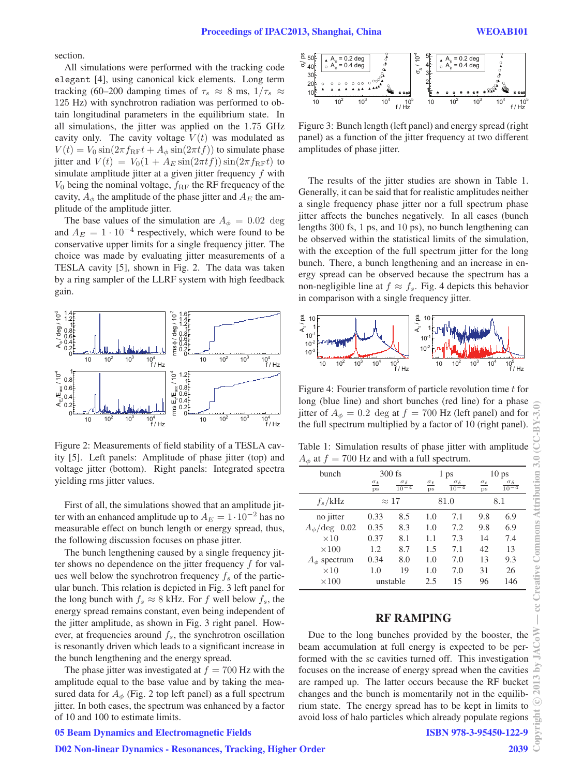section.

All simulations were performed with the tracking code elegant [4], using canonical kick elements. Long term tracking (60–200 damping times of  $\tau_s \approx 8$  ms,  $1/\tau_s \approx$ 125 Hz) with synchrotron radiation was performed to obtain longitudinal parameters in the equilibrium state. In all simulations, the jitter was applied on the 1.75 GHz cavity only. The cavity voltage  $V(t)$  was modulated as  $V(t) = V_0 \sin(2\pi f_{\rm RF}t + A_\phi \sin(2\pi t f))$  to simulate phase jitter and  $V(t) = V_0(1 + A_E \sin(2\pi t f)) \sin(2\pi f_{\text{RF}} t)$  to simulate amplitude jitter at a given jitter frequency f with  $V_0$  being the nominal voltage,  $f_{\rm RF}$  the RF frequency of the cavity,  $A_{\phi}$  the amplitude of the phase jitter and  $A_{E}$  the amplitude of the amplitude jitter.

The base values of the simulation are  $A_{\phi} = 0.02 \text{ deg}$ and  $A_E = 1 \cdot 10^{-4}$  respectively, which were found to be conservative upper limits for a single frequency jitter. The choice was made by evaluating jitter measurements of a TESLA cavity [5], shown in Fig. 2. The data was taken by a ring sampler of the LLRF system with high feedback gain.



Figure 2: Measurements of field stability of a TESLA cavity [5]. Left panels: Amplitude of phase jitter (top) and voltage jitter (bottom). Right panels: Integrated spectra yielding rms jitter values.

First of all, the simulations showed that an amplitude jitter with an enhanced amplitude up to  $A_E = 1 \cdot 10^{-2}$  has no measurable effect on bunch length or energy spread, thus, the following discussion focuses on phase jitter.

The bunch lengthening caused by a single frequency jitter shows no dependence on the jitter frequency  $f$  for values well below the synchrotron frequency  $f_s$  of the particular bunch. This relation is depicted in Fig. 3 left panel for the long bunch with  $f_s \approx 8$  kHz. For f well below  $f_s$ , the energy spread remains constant, even being independent of the jitter amplitude, as shown in Fig. 3 right panel. However, at frequencies around  $f_s$ , the synchrotron oscillation is resonantly driven which leads to a significant increase in the bunch lengthening and the energy spread.

The phase jitter was investigated at  $f = 700$  Hz with the amplitude equal to the base value and by taking the measured data for  $A_{\phi}$  (Fig. 2 top left panel) as a full spectrum jitter. In both cases, the spectrum was enhanced by a factor of 10 and 100 to estimate limits.

### 05 Beam Dynamics and Electromagnetic Fields

#### D02 Non-linear Dynamics - Resonances, Tracking, Higher Order



Figure 3: Bunch length (left panel) and energy spread (right panel) as a function of the jitter frequency at two different amplitudes of phase jitter.

The results of the jitter studies are shown in Table 1. Generally, it can be said that for realistic amplitudes neither a single frequency phase jitter nor a full spectrum phase jitter affects the bunches negatively. In all cases (bunch lengths 300 fs, 1 ps, and 10 ps), no bunch lengthening can be observed within the statistical limits of the simulation, with the exception of the full spectrum jitter for the long bunch. There, a bunch lengthening and an increase in energy spread can be observed because the spectrum has a non-negligible line at  $f \approx f_s$ . Fig. 4 depicts this behavior in comparison with a single frequency jitter.



Figure 4: Fourier transform of particle revolution time  $t$  for long (blue line) and short bunches (red line) for a phase jitter of  $A_{\phi} = 0.2$  deg at  $f = 700$  Hz (left panel) and for the full spectrum multiplied by a factor of 10 (right panel).

Table 1: Simulation results of phase jitter with amplitude  $A_{\phi}$  at  $f = 700$  Hz and with a full spectrum.

| $\cdot$                    |                           |                                |                         |                                |                  |                                |
|----------------------------|---------------------------|--------------------------------|-------------------------|--------------------------------|------------------|--------------------------------|
| bunch                      | $300$ fs                  |                                | 1 ps                    |                                | 10 <sub>ps</sub> |                                |
|                            | $\sigma_t$<br>$_{\rm DS}$ | $\frac{\sigma_{\delta}}{10-4}$ | $\sigma_t$<br><b>ps</b> | $\frac{\sigma_{\delta}}{10-4}$ | $\sigma_t$<br>DS | $\frac{\sigma_{\delta}}{10-4}$ |
| $f_s$ /kHz                 | $\approx 17$              |                                | 81.0                    |                                | 8.1              |                                |
| no jitter                  | 0.33                      | 8.5                            | 1.0                     | 7.1                            | 9.8              | 6.9                            |
| $A_{\phi}/\text{deg}$ 0.02 | 0.35                      | 8.3                            | 1.0                     | 7.2                            | 9.8              | 6.9                            |
| $\times 10$                | 0.37                      | 8.1                            | 1.1                     | 7.3                            | 14               | 7.4                            |
| $\times 100$               | 1.2                       | 8.7                            | 1.5                     | 7.1                            | 42               | 13                             |
| $A_{\phi}$ spectrum        | 0.34                      | 8.0                            | 1.0                     | 7.0                            | 13               | 9.3                            |
| $\times 10$                | 1.0                       | 19                             | 1.0                     | 7.0                            | 31               | 26                             |
| $\times 100$               | unstable                  |                                | 2.5                     | 15                             | 96               | 146                            |

### RF RAMPING

Due to the long bunches provided by the booster, the beam accumulation at full energy is expected to be performed with the sc cavities turned off. This investigation focuses on the increase of energy spread when the cavities are ramped up. The latter occurs because the RF bucket changes and the bunch is momentarily not in the equilibrium state. The energy spread has to be kept in limits to avoid loss of halo particles which already populate regions

ISBN 978-3-95450-122-9